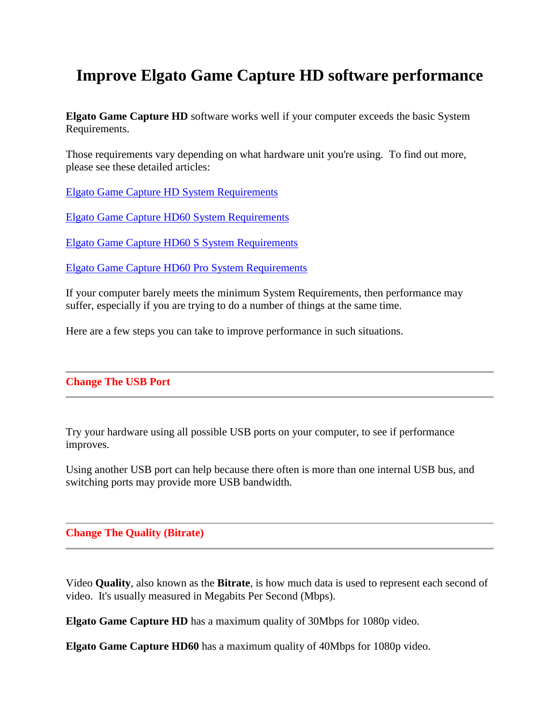# **Improve Elgato Game Capture HD software performance**

**Elgato Game Capture HD** software works well if your computer exceeds the basic System Requirements.

Those requirements vary depending on what hardware unit you're using. To find out more, please see these detailed articles:

[Elgato Game Capture HD System Requirements](https://help.elgato.com/customer/portal/articles/1020255)

[Elgato Game Capture HD60 System Requirements](https://help.elgato.com/customer/en/portal/articles/1665979-elgato-game-capture-hd60-system-requirements)

[Elgato Game Capture HD60 S System Requirements](https://help.elgato.com/customer/en/portal/articles/2376867-elgato-game-capture-hd60-s-system-requirements-)

[Elgato Game Capture HD60 Pro System Requirements](https://help.elgato.com/customer/en/portal/articles/2122539-elgato-game-capture-hd60-pro-system-requirements)

If your computer barely meets the minimum System Requirements, then performance may suffer, especially if you are trying to do a number of things at the same time.

Here are a few steps you can take to improve performance in such situations.

## **Change The USB Port**

Try your hardware using all possible USB ports on your computer, to see if performance improves.

Using another USB port can help because there often is more than one internal USB bus, and switching ports may provide more USB bandwidth.

## **Change The Quality (Bitrate)**

Video **Quality**, also known as the **Bitrate**, is how much data is used to represent each second of video. It's usually measured in Megabits Per Second (Mbps).

**Elgato Game Capture HD** has a maximum quality of 30Mbps for 1080p video.

**Elgato Game Capture HD60** has a maximum quality of 40Mbps for 1080p video.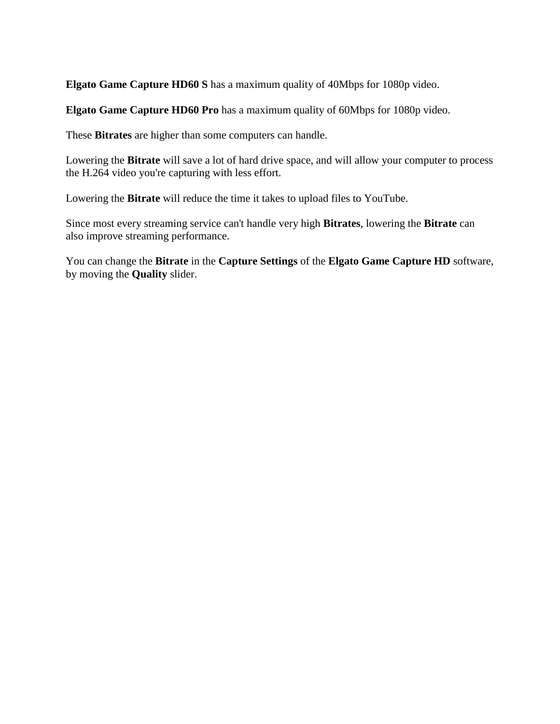**Elgato Game Capture HD60 S** has a maximum quality of 40Mbps for 1080p video.

**Elgato Game Capture HD60 Pro** has a maximum quality of 60Mbps for 1080p video.

These **Bitrates** are higher than some computers can handle.

Lowering the **Bitrate** will save a lot of hard drive space, and will allow your computer to process the H.264 video you're capturing with less effort.

Lowering the **Bitrate** will reduce the time it takes to upload files to YouTube.

Since most every streaming service can't handle very high **Bitrates**, lowering the **Bitrate** can also improve streaming performance.

You can change the **Bitrate** in the **Capture Settings** of the **Elgato Game Capture HD** software, by moving the **Quality** slider.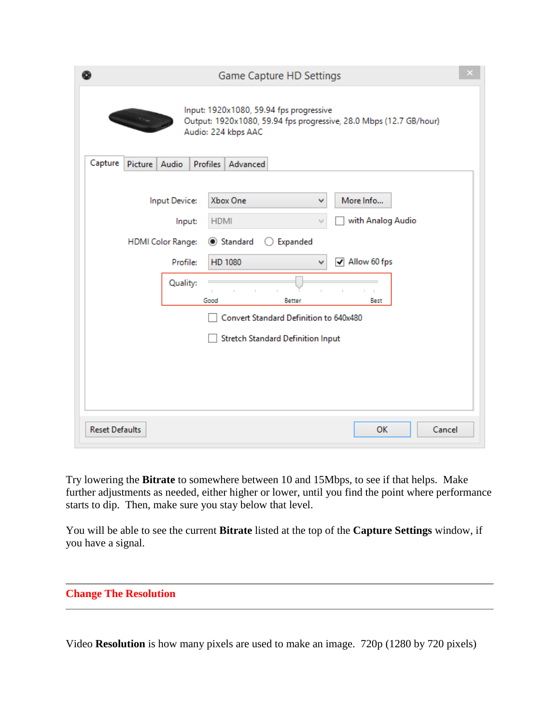|                       |                                                                                                                                                                                                                                                                                                                                                                                                                                                                                                                                                                                                      |                                                     |             | Game Capture HD Settings                                                  |  |  |  |
|-----------------------|------------------------------------------------------------------------------------------------------------------------------------------------------------------------------------------------------------------------------------------------------------------------------------------------------------------------------------------------------------------------------------------------------------------------------------------------------------------------------------------------------------------------------------------------------------------------------------------------------|-----------------------------------------------------|-------------|---------------------------------------------------------------------------|--|--|--|
|                       | Input: 1920x1080, 59.94 fps progressive<br>$\frac{1}{2} \int_{-\infty}^{\infty} \frac{dx}{dx} \, dx = 0 \quad \text{and} \quad \frac{1}{2} \int_{-\infty}^{\infty} \frac{dx}{dx} \, dx = 0 \quad \text{and} \quad \frac{1}{2} \int_{-\infty}^{\infty} \frac{dx}{dx} \, dx = 0 \quad \text{and} \quad \frac{1}{2} \int_{-\infty}^{\infty} \frac{dx}{dx} \, dx = 0 \quad \text{and} \quad \frac{1}{2} \int_{-\infty}^{\infty} \frac{dx}{dx} \, dx = 0 \quad \text{and} \quad \frac{1}{2} \int_{-\infty}^$<br>Output: 1920x1080, 59.94 fps progressive, 28.0 Mbps (12.7 GB/hour)<br>Audio: 224 kbps AAC |                                                     |             |                                                                           |  |  |  |
| Capture               | Picture   Audio                                                                                                                                                                                                                                                                                                                                                                                                                                                                                                                                                                                      |                                                     |             | Profiles   Advanced                                                       |  |  |  |
|                       |                                                                                                                                                                                                                                                                                                                                                                                                                                                                                                                                                                                                      | Input Device:<br>Input:<br><b>HDMI Color Range:</b> | <b>HDMI</b> | Xbox One<br>More Info<br>٧<br>with Analog Audio<br>Expanded<br>◉ Standard |  |  |  |
|                       | $\sqrt{ }$ Allow 60 fps<br>Profile:<br>HD 1080<br>v                                                                                                                                                                                                                                                                                                                                                                                                                                                                                                                                                  |                                                     |             |                                                                           |  |  |  |
|                       |                                                                                                                                                                                                                                                                                                                                                                                                                                                                                                                                                                                                      | Quality:                                            | Good        | Better<br>Best                                                            |  |  |  |
|                       |                                                                                                                                                                                                                                                                                                                                                                                                                                                                                                                                                                                                      |                                                     |             | Convert Standard Definition to 640x480                                    |  |  |  |
|                       |                                                                                                                                                                                                                                                                                                                                                                                                                                                                                                                                                                                                      |                                                     |             | <b>Stretch Standard Definition Input</b>                                  |  |  |  |
|                       |                                                                                                                                                                                                                                                                                                                                                                                                                                                                                                                                                                                                      |                                                     |             |                                                                           |  |  |  |
| <b>Reset Defaults</b> |                                                                                                                                                                                                                                                                                                                                                                                                                                                                                                                                                                                                      |                                                     |             | Cancel<br><b>OK</b>                                                       |  |  |  |

Try lowering the **Bitrate** to somewhere between 10 and 15Mbps, to see if that helps. Make further adjustments as needed, either higher or lower, until you find the point where performance starts to dip. Then, make sure you stay below that level.

You will be able to see the current **Bitrate** listed at the top of the **Capture Settings** window, if you have a signal.

**Change The Resolution**

Video **Resolution** is how many pixels are used to make an image. 720p (1280 by 720 pixels)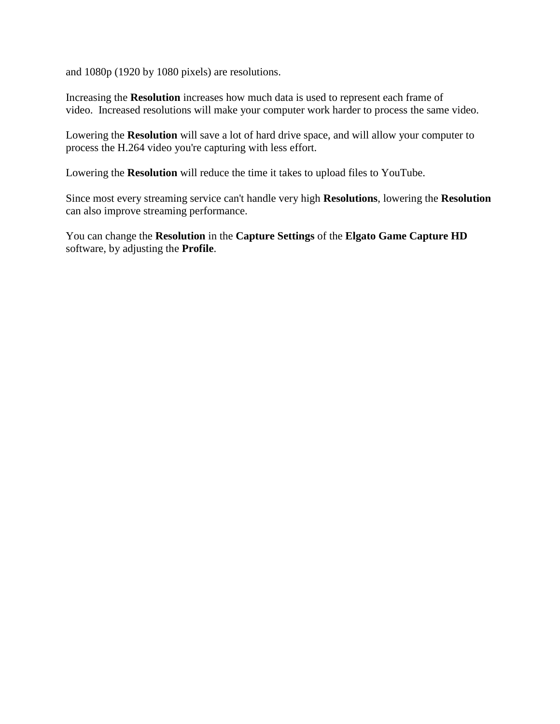and 1080p (1920 by 1080 pixels) are resolutions.

Increasing the **Resolution** increases how much data is used to represent each frame of video. Increased resolutions will make your computer work harder to process the same video.

Lowering the **Resolution** will save a lot of hard drive space, and will allow your computer to process the H.264 video you're capturing with less effort.

Lowering the **Resolution** will reduce the time it takes to upload files to YouTube.

Since most every streaming service can't handle very high **Resolutions**, lowering the **Resolution** can also improve streaming performance.

You can change the **Resolution** in the **Capture Settings** of the **Elgato Game Capture HD** software, by adjusting the **Profile**.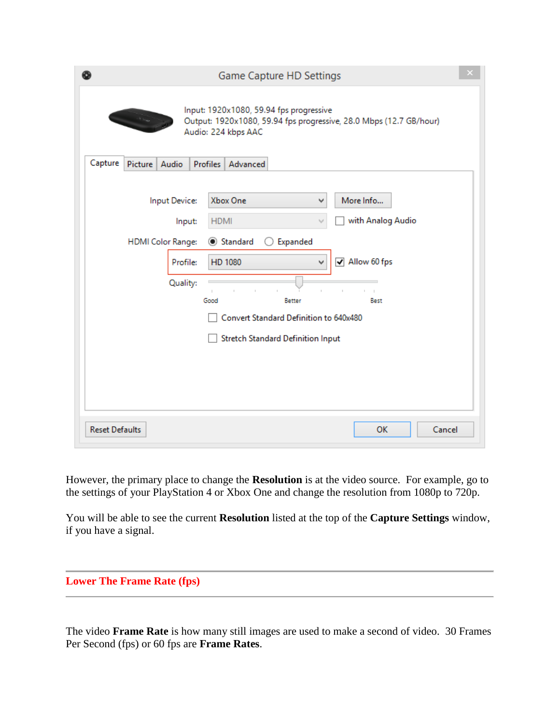|                       |                 |                                                                             |                     | Game Capture HD Settings                                                                                                                                                                                                                            |  |
|-----------------------|-----------------|-----------------------------------------------------------------------------|---------------------|-----------------------------------------------------------------------------------------------------------------------------------------------------------------------------------------------------------------------------------------------------|--|
| Capture               |                 |                                                                             |                     | Input: 1920x1080, 59.94 fps progressive<br>Output: 1920x1080, 59.94 fps progressive, 28.0 Mbps (12.7 GB/hour)<br>Audio: 224 kbps AAC                                                                                                                |  |
|                       | Picture   Audio | Input Device:<br>Input:<br><b>HDMI Color Range:</b><br>Profile:<br>Quality: | <b>HDMI</b><br>Good | Profiles   Advanced<br>Xbox One<br>More Info<br>٧<br>with Analog Audio<br>Standard<br>Expanded<br>$\sqrt{ }$ Allow 60 fps<br>HD 1080<br><b>Better</b><br>Best<br>Convert Standard Definition to 640x480<br><b>Stretch Standard Definition Input</b> |  |
| <b>Reset Defaults</b> |                 |                                                                             |                     | OK<br>Cancel                                                                                                                                                                                                                                        |  |

However, the primary place to change the **Resolution** is at the video source. For example, go to the settings of your PlayStation 4 or Xbox One and change the resolution from 1080p to 720p.

You will be able to see the current **Resolution** listed at the top of the **Capture Settings** window, if you have a signal.

## **Lower The Frame Rate (fps)**

The video **Frame Rate** is how many still images are used to make a second of video. 30 Frames Per Second (fps) or 60 fps are **Frame Rates**.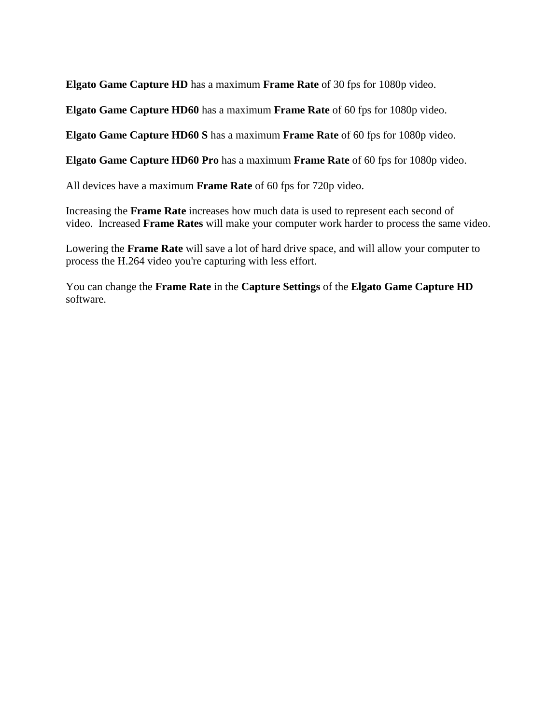**Elgato Game Capture HD** has a maximum **Frame Rate** of 30 fps for 1080p video.

**Elgato Game Capture HD60** has a maximum **Frame Rate** of 60 fps for 1080p video.

**Elgato Game Capture HD60 S** has a maximum **Frame Rate** of 60 fps for 1080p video.

**Elgato Game Capture HD60 Pro** has a maximum **Frame Rate** of 60 fps for 1080p video.

All devices have a maximum **Frame Rate** of 60 fps for 720p video.

Increasing the **Frame Rate** increases how much data is used to represent each second of video. Increased **Frame Rates** will make your computer work harder to process the same video.

Lowering the **Frame Rate** will save a lot of hard drive space, and will allow your computer to process the H.264 video you're capturing with less effort.

You can change the **Frame Rate** in the **Capture Settings** of the **Elgato Game Capture HD** software.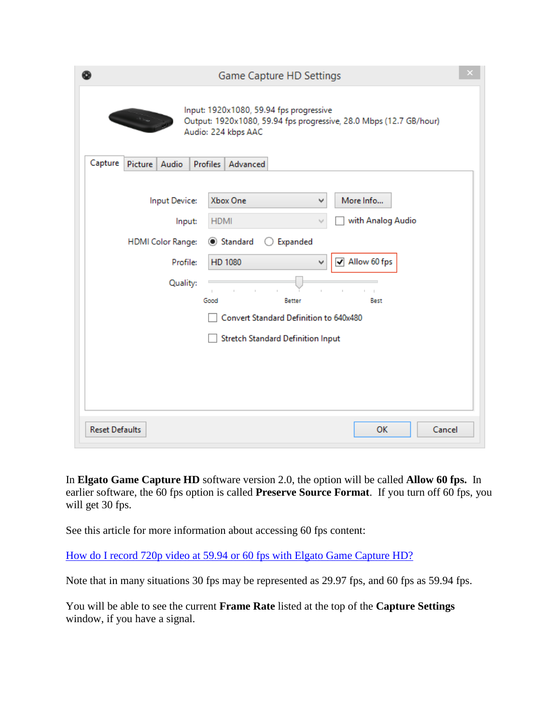|                       |                                                                                                                                                    |                                                                             |             | Game Capture HD Settings                                                                                                    |  |  |  |
|-----------------------|----------------------------------------------------------------------------------------------------------------------------------------------------|-----------------------------------------------------------------------------|-------------|-----------------------------------------------------------------------------------------------------------------------------|--|--|--|
|                       | Input: 1920x1080, 59.94 fps progressive<br>سادة السبب<br>Output: 1920x1080, 59.94 fps progressive, 28.0 Mbps (12.7 GB/hour)<br>Audio: 224 kbps AAC |                                                                             |             |                                                                                                                             |  |  |  |
| Capture               | Picture Audio                                                                                                                                      |                                                                             |             | Profiles   Advanced                                                                                                         |  |  |  |
|                       |                                                                                                                                                    | Input Device:<br>Input:<br><b>HDMI Color Range:</b><br>Profile:<br>Quality: | <b>HDMI</b> | Xbox One<br>More Info<br>٧<br>with Analog Audio<br>◉ Standard<br>Expanded<br>( )<br>$\sqrt{ }$ Allow 60 fps<br>HD 1080<br>v |  |  |  |
|                       |                                                                                                                                                    |                                                                             | Good        | <b>Better</b><br>Best                                                                                                       |  |  |  |
|                       |                                                                                                                                                    |                                                                             |             | Convert Standard Definition to 640x480                                                                                      |  |  |  |
|                       |                                                                                                                                                    |                                                                             |             | <b>Stretch Standard Definition Input</b>                                                                                    |  |  |  |
|                       |                                                                                                                                                    |                                                                             |             |                                                                                                                             |  |  |  |
| <b>Reset Defaults</b> |                                                                                                                                                    |                                                                             |             | <b>OK</b><br>Cancel                                                                                                         |  |  |  |

In **Elgato Game Capture HD** software version 2.0, the option will be called **Allow 60 fps.** In earlier software, the 60 fps option is called **Preserve Source Format**. If you turn off 60 fps, you will get 30 fps.

See this article for more information about accessing 60 fps content:

[How do I record 720p video at 59.94 or 60 fps with Elgato Game Capture HD?](https://help.elgato.com/customer/portal/articles/1503244-how-do-i-record-720p-video-at-59-94-or-60-fps-with-elgato-game-capture-hd-?b_id=360) 

Note that in many situations 30 fps may be represented as 29.97 fps, and 60 fps as 59.94 fps.

You will be able to see the current **Frame Rate** listed at the top of the **Capture Settings** window, if you have a signal.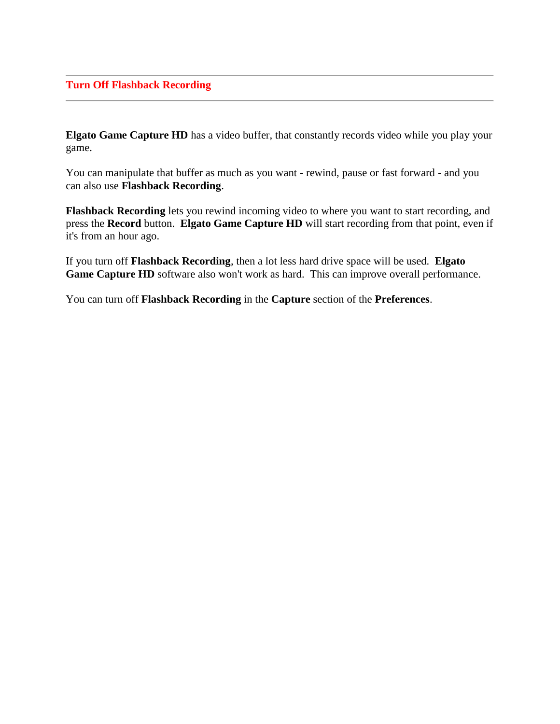**Elgato Game Capture HD** has a video buffer, that constantly records video while you play your game.

You can manipulate that buffer as much as you want - rewind, pause or fast forward - and you can also use **Flashback Recording**.

**Flashback Recording** lets you rewind incoming video to where you want to start recording, and press the **Record** button. **Elgato Game Capture HD** will start recording from that point, even if it's from an hour ago.

If you turn off **Flashback Recording**, then a lot less hard drive space will be used. **Elgato**  Game Capture HD software also won't work as hard. This can improve overall performance.

You can turn off **Flashback Recording** in the **Capture** section of the **Preferences**.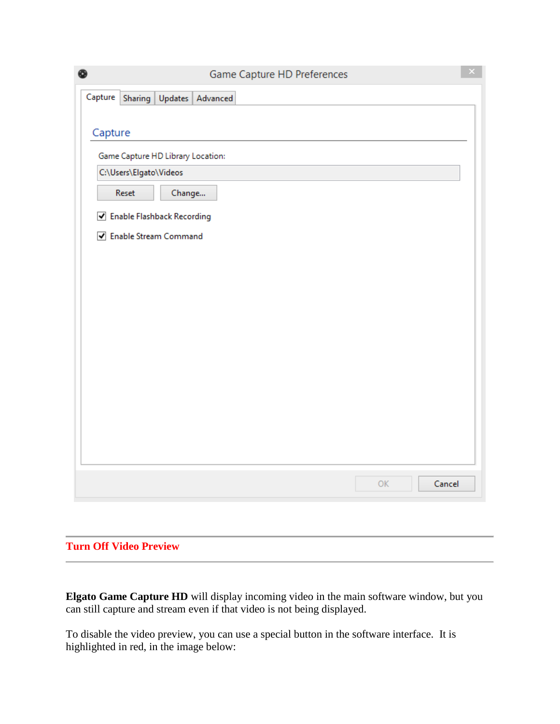| ◉                                      | Game Capture HD Preferences | $\propto$ |
|----------------------------------------|-----------------------------|-----------|
| Capture<br>Sharing<br>Updates Advanced |                             |           |
|                                        |                             |           |
| Capture                                |                             |           |
| Game Capture HD Library Location:      |                             |           |
| C:\Users\Elgato\Videos                 |                             |           |
| Reset<br>Change                        |                             |           |
| ✔ Enable Flashback Recording           |                             |           |
| ☑ Enable Stream Command                |                             |           |
|                                        |                             |           |
|                                        |                             |           |
|                                        |                             |           |
|                                        |                             |           |
|                                        |                             |           |
|                                        |                             |           |
|                                        |                             |           |
|                                        |                             |           |
|                                        |                             |           |
|                                        |                             |           |
|                                        |                             |           |
|                                        | Cancel<br>OK                |           |

## **Turn Off Video Preview**

**Elgato Game Capture HD** will display incoming video in the main software window, but you can still capture and stream even if that video is not being displayed.

To disable the video preview, you can use a special button in the software interface. It is highlighted in red, in the image below: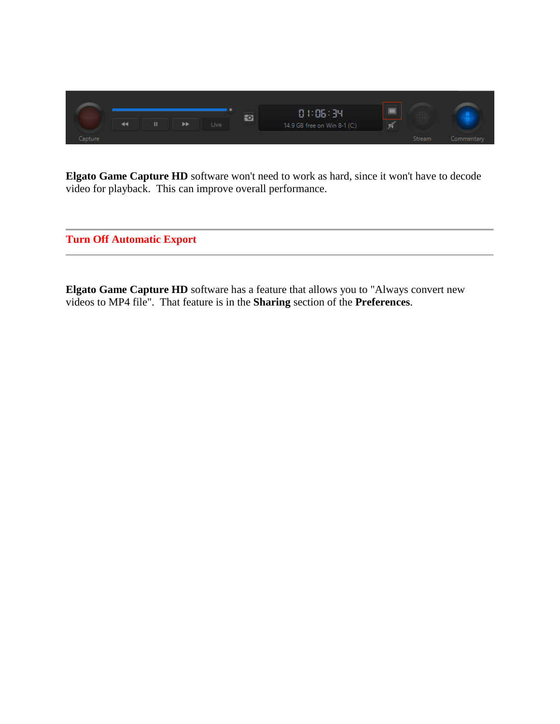

**Elgato Game Capture HD** software won't need to work as hard, since it won't have to decode video for playback. This can improve overall performance.

**Turn Off Automatic Export**

**Elgato Game Capture HD** software has a feature that allows you to "Always convert new videos to MP4 file". That feature is in the **Sharing** section of the **Preferences**.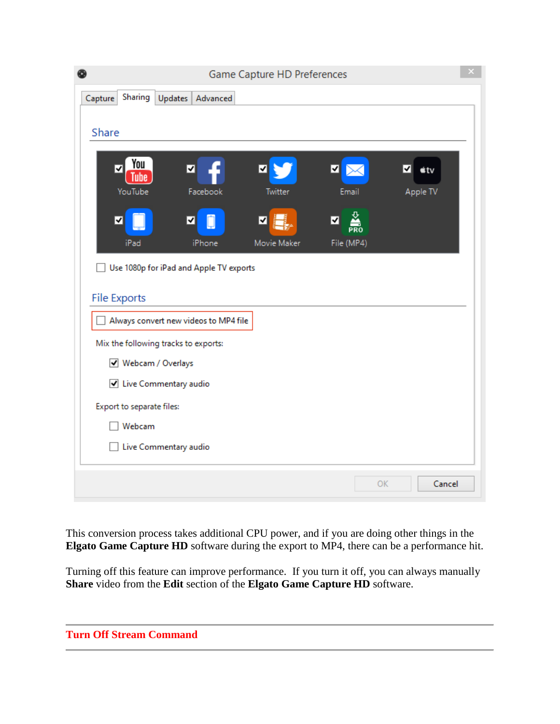|                                      |                                         | Game Capture HD Preferences |                          |                    | × |
|--------------------------------------|-----------------------------------------|-----------------------------|--------------------------|--------------------|---|
| Sharing<br>Capture                   | Updates<br>Advanced                     |                             |                          |                    |   |
|                                      |                                         |                             |                          |                    |   |
| Share                                |                                         |                             |                          |                    |   |
| You<br>▿<br>Tube                     | ∣√                                      | ⊻                           | ⊡<br>⋉                   | $\dot{\bullet}$ tv |   |
| YouTube                              | Facebook                                | Twitter                     | Email                    | Apple TV           |   |
| √                                    | ∣√                                      | ⊽                           | $\frac{\Sigma}{PR}$<br>⊻ |                    |   |
| iPad                                 | iPhone                                  | Movie Maker                 | File (MP4)               |                    |   |
|                                      | Use 1080p for iPad and Apple TV exports |                             |                          |                    |   |
|                                      |                                         |                             |                          |                    |   |
| <b>File Exports</b>                  |                                         |                             |                          |                    |   |
|                                      | Always convert new videos to MP4 file   |                             |                          |                    |   |
| Mix the following tracks to exports: |                                         |                             |                          |                    |   |
| √ Webcam / Overlays                  |                                         |                             |                          |                    |   |
| √ Live Commentary audio              |                                         |                             |                          |                    |   |
| Export to separate files:            |                                         |                             |                          |                    |   |
| Webcam                               |                                         |                             |                          |                    |   |
| Live Commentary audio                |                                         |                             |                          |                    |   |
|                                      |                                         |                             |                          |                    |   |
|                                      |                                         |                             | OK                       | Cancel             |   |

This conversion process takes additional CPU power, and if you are doing other things in the **Elgato Game Capture HD** software during the export to MP4, there can be a performance hit.

Turning off this feature can improve performance. If you turn it off, you can always manually **Share** video from the **Edit** section of the **Elgato Game Capture HD** software.

| <b>Turn Off Stream Command</b> |  |  |
|--------------------------------|--|--|
|                                |  |  |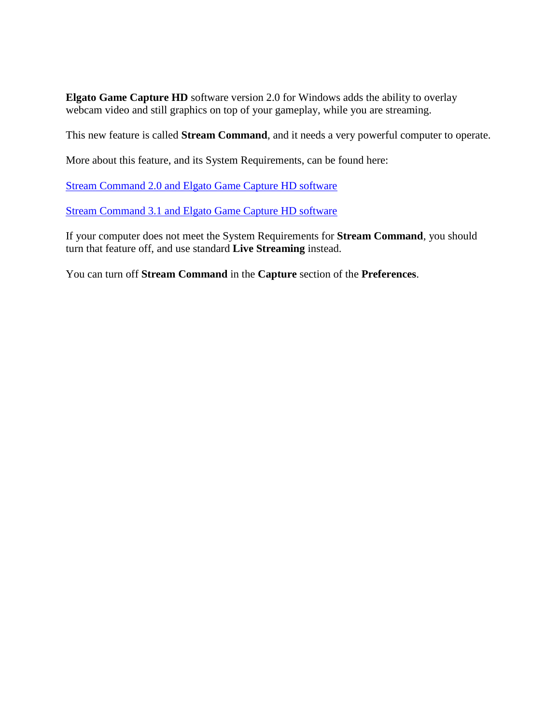**Elgato Game Capture HD** software version 2.0 for Windows adds the ability to overlay webcam video and still graphics on top of your gameplay, while you are streaming.

This new feature is called **Stream Command**, and it needs a very powerful computer to operate.

More about this feature, and its System Requirements, can be found here:

[Stream Command 2.0 and Elgato Game Capture HD software](https://gaming.help.elgato.com/customer/portal/articles/1641686?b_id=360)

[Stream Command 3.1 and Elgato Game Capture HD software](https://gaming.help.elgato.com/customer/portal/articles/2372247-stream-command-3-1-and-elgato-game-capture-hd)

If your computer does not meet the System Requirements for **Stream Command**, you should turn that feature off, and use standard **Live Streaming** instead.

You can turn off **Stream Command** in the **Capture** section of the **Preferences**.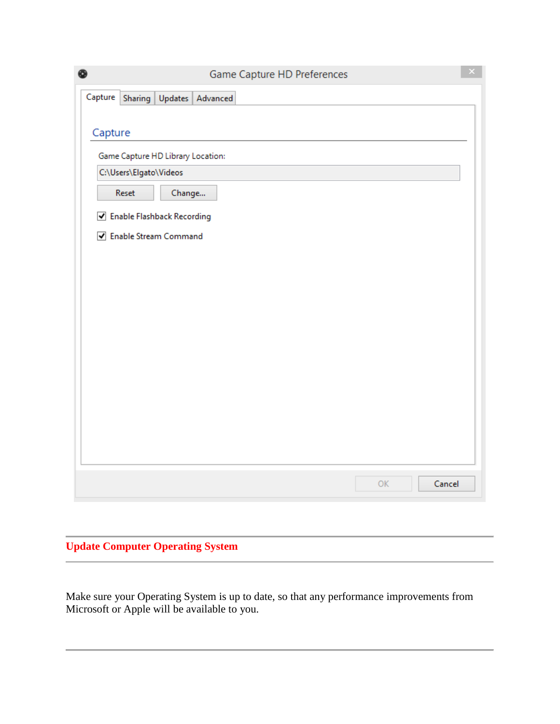| ◉                                      | Game Capture HD Preferences | $\propto$ |
|----------------------------------------|-----------------------------|-----------|
| Capture<br>Updates Advanced<br>Sharing |                             |           |
|                                        |                             |           |
| Capture                                |                             |           |
| Game Capture HD Library Location:      |                             |           |
| C:\Users\Elgato\Videos                 |                             |           |
| Reset<br>Change                        |                             |           |
| ✔ Enable Flashback Recording           |                             |           |
| ☑ Enable Stream Command                |                             |           |
|                                        |                             |           |
|                                        |                             |           |
|                                        |                             |           |
|                                        |                             |           |
|                                        |                             |           |
|                                        |                             |           |
|                                        |                             |           |
|                                        |                             |           |
|                                        |                             |           |
|                                        |                             |           |
|                                        |                             |           |
|                                        | Cancel<br>OK                |           |

## **Update Computer Operating System**

Make sure your Operating System is up to date, so that any performance improvements from Microsoft or Apple will be available to you.